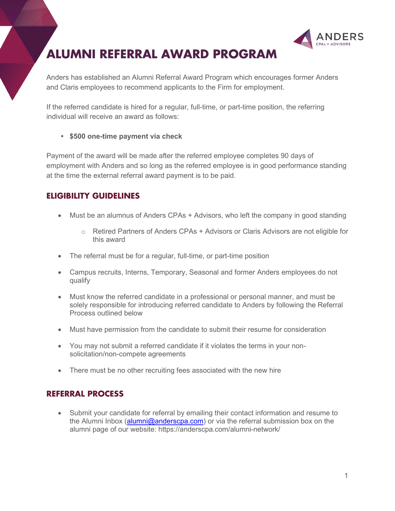



Anders has established an Alumni Referral Award Program which encourages former Anders and Claris employees to recommend applicants to the Firm for employment.

If the referred candidate is hired for a regular, full-time, or part-time position, the referring individual will receive an award as follows:

**• \$500 one-time payment via check**

Payment of the award will be made after the referred employee completes 90 days of employment with Anders and so long as the referred employee is in good performance standing at the time the external referral award payment is to be paid.

## **ELIGIBILITY GUIDELINES**

- Must be an alumnus of Anders CPAs + Advisors, who left the company in good standing
	- o Retired Partners of Anders CPAs + Advisors or Claris Advisors are not eligible for this award
- The referral must be for a regular, full-time, or part-time position
- Campus recruits, Interns, Temporary, Seasonal and former Anders employees do not qualify
- Must know the referred candidate in a professional or personal manner, and must be solely responsible for introducing referred candidate to Anders by following the Referral Process outlined below
- Must have permission from the candidate to submit their resume for consideration
- You may not submit a referred candidate if it violates the terms in your nonsolicitation/non-compete agreements
- There must be no other recruiting fees associated with the new hire

## **REFERRAL PROCESS**

• Submit your candidate for referral by emailing their contact information and resume to the Alumni Inbox [\(alumni@anderscpa.com\)](mailto:alumni@anderscpa.com) or via the referral submission box on the alumni page of our website: https://anderscpa.com/alumni-network/